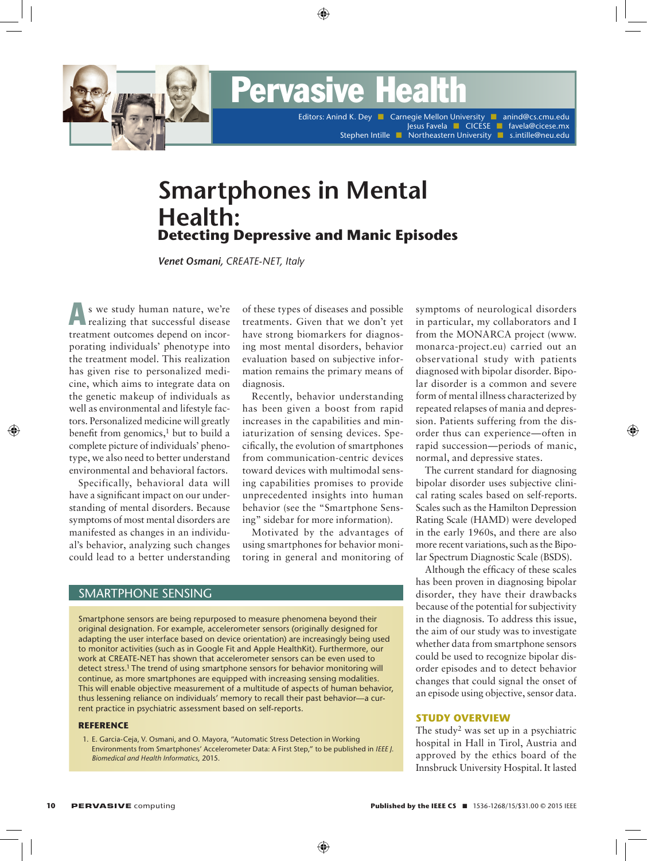

ervasive

Editors: Anind K. Dey **N** Carnegie Mellon University **N** anind@cs.cmu.edu Stephen Intille **n** Northeastern University **n** s.intille@neu.edu

**Smartphones in Mental Health: Detecting Depressive and Manic Episodes**

*Venet Osmani, CREATE-NET, Italy*

s we study human nature, we're realizing that successful disease treatment outcomes depend on incorporating individuals' phenotype into the treatment model. This realization has given rise to personalized medicine, which aims to integrate data on the genetic makeup of individuals as well as environmental and lifestyle factors. Personalized medicine will greatly benefit from genomics, $<sup>1</sup>$  but to build a</sup> complete picture of individuals' phenotype, we also need to better understand environmental and behavioral factors.

Specifically, behavioral data will have a significant impact on our understanding of mental disorders. Because symptoms of most mental disorders are manifested as changes in an individual's behavior, analyzing such changes could lead to a better understanding

of these types of diseases and possible treatments. Given that we don't yet have strong biomarkers for diagnosing most mental disorders, behavior evaluation based on subjective information remains the primary means of diagnosis.

Recently, behavior understanding has been given a boost from rapid increases in the capabilities and miniaturization of sensing devices. Specifically, the evolution of smartphones from communication-centric devices toward devices with multimodal sensing capabilities promises to provide unprecedented insights into human behavior (see the "Smartphone Sensing" sidebar for more information).

Motivated by the advantages of using smartphones for behavior monitoring in general and monitoring of

# Smartphone Sensing

Smartphone sensors are being repurposed to measure phenomena beyond their original designation. For example, accelerometer sensors (originally designed for adapting the user interface based on device orientation) are increasingly being used to monitor activities (such as in Google Fit and Apple HealthKit). Furthermore, our work at CREATE-NET has shown that accelerometer sensors can be even used to detect stress.<sup>1</sup> The trend of using smartphone sensors for behavior monitoring will continue, as more smartphones are equipped with increasing sensing modalities. This will enable objective measurement of a multitude of aspects of human behavior, thus lessening reliance on individuals' memory to recall their past behavior—a current practice in psychiatric assessment based on self-reports.

#### **Reference**

1. E. Garcia-Ceja, V. Osmani, and O. Mayora, "Automatic Stress Detection in Working Environments from Smartphones' Accelerometer Data: A First Step," to be published in *IEEE J. Biomedical and Health Informatics*, 2015.

symptoms of neurological disorders in particular, my collaborators and I from the MONARCA project (www. monarca-project.eu) carried out an observational study with patients diagnosed with bipolar disorder. Bipolar disorder is a common and severe form of mental illness characterized by repeated relapses of mania and depression. Patients suffering from the disorder thus can experience—often in rapid succession—periods of manic, normal, and depressive states.

Jesus Favela **n** CICESE **n** favela@cicese.mx

The current standard for diagnosing bipolar disorder uses subjective clinical rating scales based on self-reports. Scales such as the Hamilton Depression Rating Scale (HAMD) were developed in the early 1960s, and there are also more recent variations, such as the Bipolar Spectrum Diagnostic Scale (BSDS).

Although the efficacy of these scales has been proven in diagnosing bipolar disorder, they have their drawbacks because of the potential for subjectivity in the diagnosis. To address this issue, the aim of our study was to investigate whether data from smartphone sensors could be used to recognize bipolar disorder episodes and to detect behavior changes that could signal the onset of an episode using objective, sensor data.

## **Study Overview**

The study<sup>2</sup> was set up in a psychiatric hospital in Hall in Tirol, Austria and approved by the ethics board of the Innsbruck University Hospital. It lasted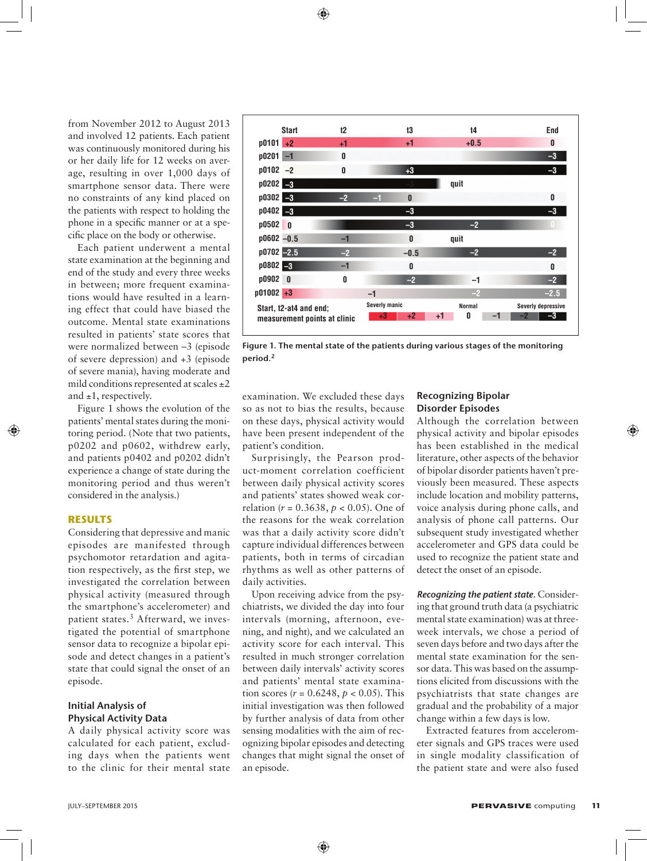from November 2012 to August 2013 and involved 12 patients. Each patient was continuously monitored during his or her daily life for 12 weeks on average, resulting in over 1,000 days of smartphone sensor data. There were no constraints of any kind placed on the patients with respect to holding the phone in a specific manner or at a specific place on the body or otherwise.

Each patient underwent a mental state examination at the beginning and end of the study and every three weeks in between; more frequent examinations would have resulted in a learning effect that could have biased the outcome. Mental state examinations resulted in patients' state scores that were normalized between –3 (episode of severe depression) and +3 (episode of severe mania), having moderate and mild conditions represented at scales ±2 and  $\pm 1$ , respectively.

Figure 1 shows the evolution of the patients' mental states during the monitoring period. (Note that two patients, p0202 and p0602, withdrew early, and patients p0402 and p0202 didn't experience a change of state during the monitoring period and thus weren't considered in the analysis.)

#### **Results**

Considering that depressive and manic episodes are manifested through psychomotor retardation and agitation respectively, as the first step, we investigated the correlation between physical activity (measured through the smartphone's accelerometer) and patient states.3 Afterward, we investigated the potential of smartphone sensor data to recognize a bipolar episode and detect changes in a patient's state that could signal the onset of an episode.

### **Initial Analysis of Physical Activity Data**

A daily physical activity score was calculated for each patient, excluding days when the patients went to the clinic for their mental state



**Figure 1. The mental state of the patients during various stages of the monitoring period.2**

examination. We excluded these days so as not to bias the results, because on these days, physical activity would have been present independent of the patient's condition.

Surprisingly, the Pearson product-moment correlation coefficient between daily physical activity scores and patients' states showed weak correlation (*r* = 0.3638, *p* < 0.05). One of the reasons for the weak correlation was that a daily activity score didn't capture individual differences between patients, both in terms of circadian rhythms as well as other patterns of daily activities.

Upon receiving advice from the psychiatrists, we divided the day into four intervals (morning, afternoon, evening, and night), and we calculated an activity score for each interval. This resulted in much stronger correlation between daily intervals' activity scores and patients' mental state examination scores ( $r = 0.6248$ ,  $p < 0.05$ ). This initial investigation was then followed by further analysis of data from other sensing modalities with the aim of recognizing bipolar episodes and detecting changes that might signal the onset of an episode.

# **Recognizing Bipolar Disorder Episodes**

Although the correlation between physical activity and bipolar episodes has been established in the medical literature, other aspects of the behavior of bipolar disorder patients haven't previously been measured. These aspects include location and mobility patterns, voice analysis during phone calls, and analysis of phone call patterns. Our subsequent study investigated whether accelerometer and GPS data could be used to recognize the patient state and detect the onset of an episode.

*Recognizing the patient state.* Considering that ground truth data (a psychiatric mental state examination) was at threeweek intervals, we chose a period of seven days before and two days after the mental state examination for the sensor data. This was based on the assumptions elicited from discussions with the psychiatrists that state changes are gradual and the probability of a major change within a few days is low.

Extracted features from accelerometer signals and GPS traces were used in single modality classification of the patient state and were also fused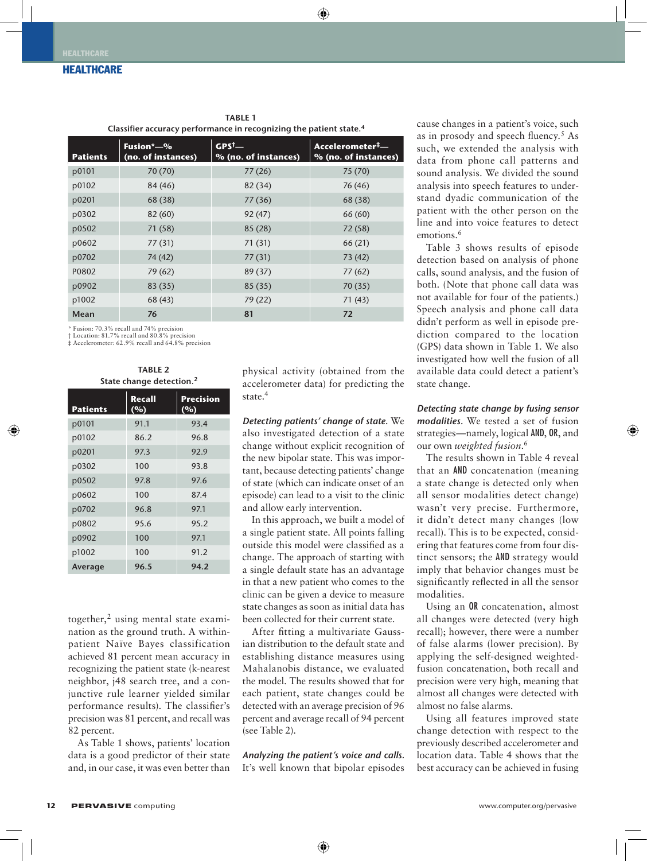# **HEALTHCARE**

| Classifier accuracy performance in recognizing the patient state. <sup>4</sup> |                                 |                                           |                                                      |
|--------------------------------------------------------------------------------|---------------------------------|-------------------------------------------|------------------------------------------------------|
| <b>Patients</b>                                                                | Fusion*-%<br>(no. of instances) | $GPS^{\dagger}$ -<br>% (no. of instances) | Accelerometer <sup>‡</sup> -<br>% (no. of instances) |
| p0101                                                                          | 70 (70)                         | 77(26)                                    | 75 (70)                                              |
| p0102                                                                          | 84 (46)                         | 82 (34)                                   | 76 (46)                                              |
| p0201                                                                          | 68 (38)                         | 77(36)                                    | 68 (38)                                              |
| p0302                                                                          | 82 (60)                         | 92 (47)                                   | 66 (60)                                              |
| p0502                                                                          | 71(58)                          | 85(28)                                    | 72 (58)                                              |
| p0602                                                                          | 77(31)                          | 71(31)                                    | 66 (21)                                              |
| p0702                                                                          | 74 (42)                         | 77(31)                                    | 73 (42)                                              |
| P0802                                                                          | 79 (62)                         | 89 (37)                                   | 77 (62)                                              |
| p0902                                                                          | 83 (35)                         | 85 (35)                                   | 70(35)                                               |
| p1002                                                                          | 68 (43)                         | 79 (22)                                   | 71(43)                                               |
| <b>Mean</b>                                                                    | 76                              | 81                                        | 72                                                   |

**Table 1**

\* Fusion: 70.3% recall and 74% precision

† Location: 81.7% recall and 80.8% precision ‡ Accelerometer: 62.9% recall and 64.8% precision

| State change detection. <sup>2</sup> |                      |                         |  |
|--------------------------------------|----------------------|-------------------------|--|
| <b>Patients</b>                      | <b>Recall</b><br>(%) | <b>Precision</b><br>(%) |  |
| p0101                                | 91.1                 | 93.4                    |  |
| p0102                                | 86.2                 | 96.8                    |  |
| p0201                                | 97.3                 | 92.9                    |  |
| p0302                                | 100                  | 93.8                    |  |
| p0502                                | 97.8                 | 97.6                    |  |
| p0602                                | 100                  | 87.4                    |  |
| p0702                                | 96.8                 | 97.1                    |  |
| p0802                                | 95.6                 | 95.2                    |  |
| p0902                                | 100                  | 97.1                    |  |
| p1002                                | 100                  | 91.2                    |  |
| Average                              | 96.5                 | 94.2                    |  |

**Table 2**

together,<sup>2</sup> using mental state examination as the ground truth. A withinpatient Naïve Bayes classification achieved 81 percent mean accuracy in recognizing the patient state (k-nearest neighbor, j48 search tree, and a conjunctive rule learner yielded similar performance results). The classifier's precision was 81 percent, and recall was 82 percent.

As Table 1 shows, patients' location data is a good predictor of their state and, in our case, it was even better than physical activity (obtained from the accelerometer data) for predicting the state.<sup>4</sup>

*Detecting patients' change of state.* We also investigated detection of a state change without explicit recognition of the new bipolar state. This was important, because detecting patients' change of state (which can indicate onset of an episode) can lead to a visit to the clinic and allow early intervention.

In this approach, we built a model of a single patient state. All points falling outside this model were classified as a change. The approach of starting with a single default state has an advantage in that a new patient who comes to the clinic can be given a device to measure state changes as soon as initial data has been collected for their current state.

After fitting a multivariate Gaussian distribution to the default state and establishing distance measures using Mahalanobis distance, we evaluated the model. The results showed that for each patient, state changes could be detected with an average precision of 96 percent and average recall of 94 percent (see Table 2).

*Analyzing the patient's voice and calls.*  It's well known that bipolar episodes

cause changes in a patient's voice, such as in prosody and speech fluency.5 As such, we extended the analysis with data from phone call patterns and sound analysis. We divided the sound analysis into speech features to understand dyadic communication of the patient with the other person on the line and into voice features to detect emotions<sup>6</sup>

Table 3 shows results of episode detection based on analysis of phone calls, sound analysis, and the fusion of both. (Note that phone call data was not available for four of the patients.) Speech analysis and phone call data didn't perform as well in episode prediction compared to the location (GPS) data shown in Table 1. We also investigated how well the fusion of all available data could detect a patient's state change.

*Detecting state change by fusing sensor modalities.* We tested a set of fusion strategies—namely, logical AND, OR, and our own *weighted fusion*. 6

The results shown in Table 4 reveal that an AND concatenation (meaning a state change is detected only when all sensor modalities detect change) wasn't very precise. Furthermore, it didn't detect many changes (low recall). This is to be expected, considering that features come from four distinct sensors; the AND strategy would imply that behavior changes must be significantly reflected in all the sensor modalities.

Using an OR concatenation, almost all changes were detected (very high recall); however, there were a number of false alarms (lower precision). By applying the self-designed weightedfusion concatenation, both recall and precision were very high, meaning that almost all changes were detected with almost no false alarms.

Using all features improved state change detection with respect to the previously described accelerometer and location data. Table 4 shows that the best accuracy can be achieved in fusing